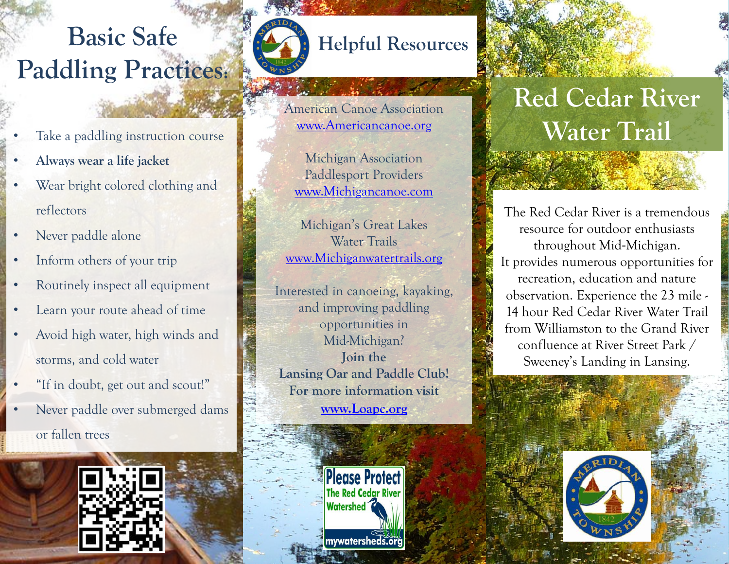## **Basic Safe Paddling Practices:**



## **Helpful Resources**

American Canoe Association [www.Americancanoe.org](http://www.americancanoe.org/)

Michigan Association Paddlesport Providers [www.Michigancanoe.com](http://www.michigancanoe.com/)

Michigan's Great Lakes Water Trails [www.Michiganwatertrails.org](http://www.michiganwatertrails.org/)

Interested in canoeing, kayaking, and improving paddling opportunities in Mid-Michigan? **Join the Lansing Oar and Paddle Club! For more information visit [www.Loapc.org](http://www.loapc.org/)**

> **Please Protect The Red Cedar River Watershed** mywatersheds.org

## **Red Cedar River Water Trail**

The Red Cedar River is a tremendous resource for outdoor enthusiasts throughout Mid-Michigan. It provides numerous opportunities for recreation, education and nature observation. Experience the 23 mile - 14 hour Red Cedar River Water Trail from Williamston to the Grand River confluence at River Street Park / Sweeney's Landing in Lansing.



- Take a paddling instruction course
- **Always wear a life jacket**
- Wear bright colored clothing and reflectors
- Never paddle alone
- Inform others of your trip
- Routinely inspect all equipment
- Learn your route ahead of time
- Avoid high water, high winds and storms, and cold water
- "If in doubt, get out and scout!"
- Never paddle over submerged dams or fallen trees